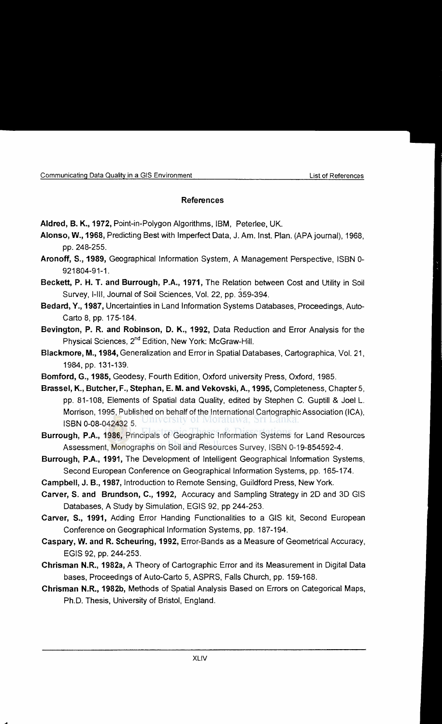## **References**

Aldred, B. K., 1972, Point-in-Polygon Algorithms, IBM, Peterlee, UK.

- **Alonso, W., 1968,** Predicting Best with Imperfect Data, J. Am. lnst. Plan. (APAjoumal), 1968, pp. 248-255.
- **Aronoff, S., 1989,** Geographical Information System, A Management Perspective, ISBN 0- 921804-91-1.
- **Beckett, P. H. T. and Burrough, P.A., 1971,** The Relation between Cost and Utility in Soil Survey, I-III, Journal of Soil Sciences, Vol. 22, pp. 359-394.
- **Bedard, Y., 1987,** Uncertainties in Land Information Systems Databases, Proceedings, Auto-Carte 8, pp. 175-184.
- **Bevington, P. R. and Robinson, D. K., 1992,** Data Reduction and Error Analysis for the Physical Sciences, 2<sup>nd</sup> Edition, New York: McGraw-Hill.
- **Blackmore, M., 1984,** Generalization and Error in Spatial Databases, Cartographica, Vol. 21, 1984, pp. 131-139.
- **Bomford, G., 1985,** Geodesy, Fourth Edition, Oxford university Press, Oxford, 1985.
- **Brassel, K., Butcher, F., Stephan, E. M. and Vekovski, A., 1995,** Completeness, Chapter 5, pp. 81-108, Elements of Spatial data Quality, edited by Stephen C. Guptill & Joel L. Morrison, 1995, Published on behalf of the International Cartographic Association (ICA), ISBN 0-08-042432 5.
- **Burrough, P.A., 1986,** Principals of Geographic Information Systems for Land Resources Assessment, Monographs on Soil and Resources Survey, ISBN 0-19-854592-4.
- **Burrough, P.A., 1991,** The Development of Intelligent Geographical Information Systems, Second European Conference on Geographical Information Systems, pp. 165-174.
- **Campbell, J. B., 1987,** Introduction to Remote Sensing, Guildford Press, New York.
- **Carver, S. and Brundson, C., 1992,** Accuracy and Sampling Strategy in 2D and 3D GIS Databases, A Study by Simulation, EGIS 92, pp 244-253.
- **Carver, S., 1991,** Adding Error Handing Functionalities to a GIS kit, Second European Conference on Geographical Information Systems, pp. 187-194.
- **Caspary, W. and R. Scheuring, 1992,** Error-Bands as a Measure of Geometrical Accuracy, EGIS 92, pp. 244-253.
- **Chrisman N.R., 1982a,** A Theory of Cartographic Error and its Measurement in Digital Data bases, Proceedings of Auto-Carto 5, ASPRS, Falls Church, pp. 159-168.
- **Chrisman N.R., 1982b,** Methods of Spatial Analysis Based on Errors on Categorical Maps, Ph.D. Thesis, University of Bristol, England.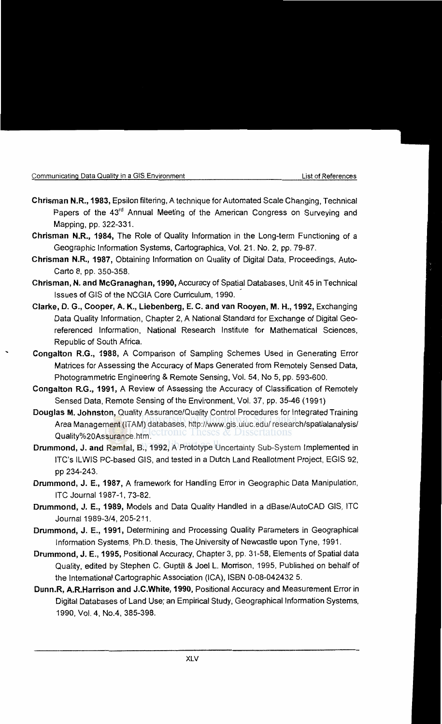...

- **Chrisman N.R., 1983,** Epsilon filtering, A technique for Automated Scale Changing, Technical Papers of the 43<sup>rd</sup> Annual Meeting of the American Congress on Surveying and Mapping, pp. 322-331.
- **Chrisman N.R., 1984,** The Role of Quality Information in the Long-term Functioning of a Geographic Information Systems, Cartographica, Vol. 21. No.2, pp. 79-87.
- **Chrisman N.R., 1987,** Obtaining Information on Quality of Digital Data, Proceedings, Auto-Carte 8, pp. 350-358.
- **Chrisman, N. and McGranaghan, 1990,** Accuracy of Spatial Databases, Unit45 in Technical Issues of GIS of the NCGIA Core Curriculum, 1990.
- **Clarke, D. G., Cooper, A. K., Liebenberg, E. C. and van Rooyen, M. H., 1992,** Exchanging Data Quality Information, Chapter 2, A National Standard for Exchange of Digital Geereferenced Information, National Research Institute for Mathematical Sciences, Republic of South Africa.
- **Congalton R.G., 1988,** A Comparison of Sampling Schemes Used in Generating Error Matrices for Assessing the Accuracy of Maps Generated from Remotely Sensed Data, Photogrammetric Engineering & Remote Sensing, Vol. 54, No 5, pp. 593-600.
- **Congalton R.G., 1991,** A Review of Assessing the Accuracy of Classification of Remotely Sensed Data, Remote Sensing of the Environment, Vol. 37, pp. 35-46 ( 1991)
- **Douglas M. Johnston,** Quality Assurance/Quality Control Procedures for Integrated Training Area Management (ITAM) databases, http://www.gis.uiuc.edu/ research/spatialanalysis/ Quality%20Assurance.htm.
- **Drummond, J. and Ramlal, 8., 1992,** A Prototype Uncertainty Sub-System Implemented in ITC's ILWIS PC-based GIS, and tested in a Dutch Land Reallotment Project, EGIS 92, pp 234-243.
- **Drummond, J. E., 1987,** A framework for Handling Error in Geographic Data Manipulation, ITC Journal 1987-1, 73-82.
- **Drummond, J. E., 1989,** Models and Data Quality Handled in a dBase/AutoCAD GIS, lTC Journal1989-3/4, 205-211.
- **Drummond, J. E., 1991,** Determining and Processing Quality Parameters in Geographical Information Systems, Ph.D. thesis, The University of Newcastle upon Tyne, 1991.
- **Drummond, J. E., 1995,** Positional Accuracy, Chapter 3, pp. 31-58, Elements of Spatial data Quality, edited by Stephen C. Guptill & Joel L. Morrison, 1995, Published on behalf of the International Cartographic Association (ICA), ISBN 0-08-042432 5.
- **Dunn.R, A.R.Harrison and J.C.White, 1990,** Positional Accuracy and Measurement Error in Digital Databases of Land Use; an Empirical Study, Geographical Information Systems, 1990, Vol. 4, No.4, 385-398.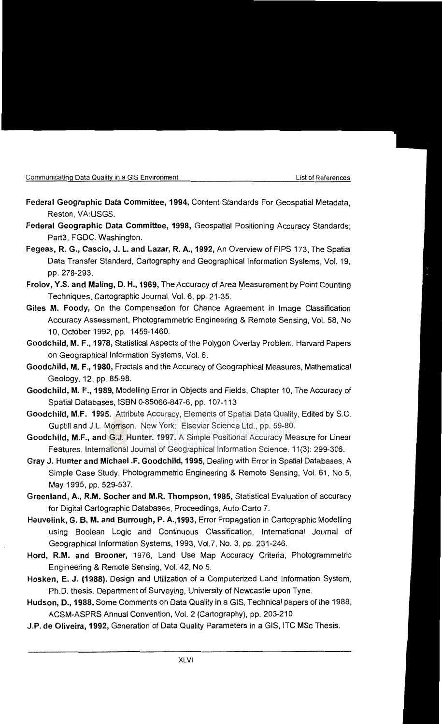- Federal Geographic Data Committee, 1994, Content Standards For Geospatial Metadata, Reston, VA:USGS.
- Federal Geographic Data Committee, 1998, Geospatial Positioning Accuracy Standards; Part3, FGDC. Washington.
- Fegeas, R. G., Cascio, J. L. and Lazar, R. A., 1992, An Overview of FIPS 173, The Spatial Data Transfer Standard, Cartography and Geographical Information Systems, Vol. 19, pp. 278-293.
- Frolov, Y.S. and Maling, D. H., 1969, The Accuracy of Area Measurement by Point Counting Techniques, Cartographic Journal, Vol. 6, pp. 21-35.
- Giles M. Foody, On the Compensation for Chance Agreement in Image Classification Accuracy Assessment, Photogrammetric Engineering & Remote Sensing, Vol. 58, No 10, October 1992, pp. 1459-1460.
- Goodchild, M. F., 1978, Statistical Aspects of the Polygon Overlay Problem, Harvard Papers on Geographical Information Systems, Vol. 6.
- Goodchild, M. F., 1980, Fractals and the Accuracy of Geographical Measures, Mathematical Geology, 12, pp. 85-98.
- Goodchild, M. F., 1989, Modelling Error in Objects and Fields, Chapter 10, The Accuracy of Spatial Databases, ISBN 0-85066-847-6, pp. 107-113
- Goodchild, M.F. 1995. Attribute Accuracy, Elements of Spatial Data Quality, Edited by S.C. Guptill and J.L. Morrison. New York: Elsevier Science Ltd., pp. 59-80.
- Goodchild, M.F., and G.J. Hunter. 1997. A Simple Positional Accuracy Measure for Linear Features. International Journal of Geographical Information Science. 11 (3): 299-306.
- Gray J. Hunter and Michael .F. Goodchild, 1995, Dealing with Error in Spatial Databases, A Simple Case Study, Photogrammetric Engineering & Remote Sensing, Vol. 61, No 5, May 1995, pp. 529-537.
- Greenland, A., R.M. Socher and M.R. Thompson, 1985, Statistical Evaluation of accuracy for Digital Cartographic Databases, Proceedings, Auto-Carte 7.
- Heuvelink, G. B. M. and Burrough, P. A.,1993, Error Propagation in Cartographic Modelling using Boolean Logic and Continuous Classification, International Journal of Geographical Information Systems, 1993, Vol.?, No.3, pp. 231-246.
- Hord, R.M. and Brooner, 1976, Land Use Map Accuracy Criteria, Photogrammetric Engineering & Remote Sensing, Vol. 42, No 5.
- Hosken, E. J. (1988). Design and Utilization of a Computerized Land Information System, Ph.D. thesis. Department of Surveying, University of Newcastle upon Tyne.
- Hudson, D., 1988, Some Comments on Data Quality in a GIS, Technical papers of the 1988, ACSM-ASPRS Annual Convention, Vol. 2 (Cartography), pp. 203-210
- J.P. de Oliveira, 1992, Generation of Data Quality Parameters in a GIS, lTC MSc Thesis.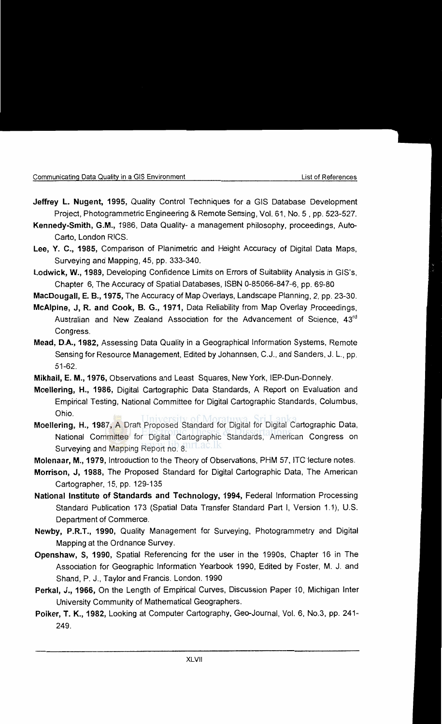- **Jeffrey L. Nugent, 1995,** Quality Control Techniques for a GIS Database Development Project, Photogrammetric Engineering & Remote Sensing, Vol. 61, No. 5 , pp. 523-527.
- **Kennedy-Smith, G.M.,** 1986, Data Quality- a management philosophy, proceedings, Auto-Carte, London RICS.
- **Lee, Y. C., 1985,** Comparison of Planimetric and Height Accuracy of Digital Data Maps, Surveying and Mapping, 45, pp. 333-340.
- **Lodwick, W., 1989,** Developing Confidence Limits on Errors of Suitability Analysis in GIS's, Chapter 6, The Accuracy of Spatial Databases, ISBN 0-85066-847-6, pp. 69-80
- **MacDougall, E. 8., 1975,** The Accuracy of Map Overlays, Landscape Planning, 2, pp. 23-30.
- **McAlpine, J, R. and Cook, B. G., 1971,** Data Reliability from Map Overlay Proceedings, Australian and New Zealand Association for the Advancement of Science, 43<sup>rd</sup> Congress.
- **Mead, D.A., 1982,** Assessing Data Quality in a Geographical Information Systems, Remote Sensing for Resource Management, Edited by Johannsen, C.J., and Sanders, J. L., pp. 51-62.
- **Mikhail, E. M., 1976,** Observations and Least Squares, New York, IEP-Dun-Donnely.
- **Moellering, H., 1986,** Digital Cartographic Data Standards, A Report on Evaluation and Empirical Testing, National Committee for Digital Cartographic Standards, Columbus, Ohio.
- **Moellering, H., 1987,** A Draft Proposed Standard for Digital for Digital Cartographic Data, National Committee for Digital Cartographic Standards, American Congress on Surveying and Mapping Report no. 8.
- **Molenaar, M., 1979,** Introduction to the Theory of Observations, PHM 57, ITC1ecture notes.
- **Morrison, J, 1988,** The Proposed Standard for Digital Cartographic Data, The American Cartographer, 15, pp. 129-135
- **National Institute of Standards and Technology, 1994,** Federal Information Processing Standard Publication 173 (Spatial Data Transfer Standard Part I, Version 1.1 ), U.S. Department of Commerce.
- **Newby, P.R.T., 1990,** Quality Management for Surveying, Photogrammetry and Digital Mapping at the Ordnance Survey.
- **Openshaw, S, 1990,** Spatial Referencing for the user in the 1990s, Chapter 16 in The Association for Geographic Information Yearbook 1990, Edited by Foster, M. J. and Shand, P. J., Taylor and Francis. London. 1990
- **Perkal, J., 1966,** On the Length of Empirical Curves, Discussion Paper 10. Michigan Inter University Community of Mathematical Geographers.
- **Poiker, T. K., 1982,** Looking at Computer Cartography, Geo-Joumal, Vol. 6, No.3, pp. 241- 249.